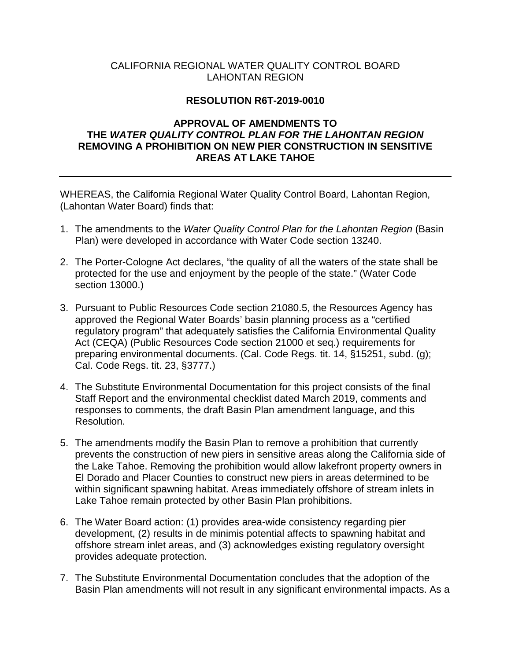### CALIFORNIA REGIONAL WATER QUALITY CONTROL BOARD LAHONTAN REGION

#### **RESOLUTION R6T-2019-0010**

### **APPROVAL OF AMENDMENTS TO THE** *WATER QUALITY CONTROL PLAN FOR THE LAHONTAN REGION* **REMOVING A PROHIBITION ON NEW PIER CONSTRUCTION IN SENSITIVE AREAS AT LAKE TAHOE**

WHEREAS, the California Regional Water Quality Control Board, Lahontan Region, (Lahontan Water Board) finds that:

- 1. The amendments to the *Water Quality Control Plan for the Lahontan Region* (Basin Plan) were developed in accordance with Water Code section 13240.
- 2. The Porter-Cologne Act declares, "the quality of all the waters of the state shall be protected for the use and enjoyment by the people of the state." (Water Code section 13000.)
- 3. Pursuant to Public Resources Code section 21080.5, the Resources Agency has approved the Regional Water Boards' basin planning process as a "certified regulatory program" that adequately satisfies the California Environmental Quality Act (CEQA) (Public Resources Code section 21000 et seq.) requirements for preparing environmental documents. (Cal. Code Regs. tit. 14, §15251, subd. (g); Cal. Code Regs. tit. 23, §3777.)
- 4. The Substitute Environmental Documentation for this project consists of the final Staff Report and the environmental checklist dated March 2019, comments and responses to comments, the draft Basin Plan amendment language, and this Resolution.
- 5. The amendments modify the Basin Plan to remove a prohibition that currently prevents the construction of new piers in sensitive areas along the California side of the Lake Tahoe. Removing the prohibition would allow lakefront property owners in El Dorado and Placer Counties to construct new piers in areas determined to be within significant spawning habitat. Areas immediately offshore of stream inlets in Lake Tahoe remain protected by other Basin Plan prohibitions.
- 6. The Water Board action: (1) provides area-wide consistency regarding pier development, (2) results in de minimis potential affects to spawning habitat and offshore stream inlet areas, and (3) acknowledges existing regulatory oversight provides adequate protection.
- 7. The Substitute Environmental Documentation concludes that the adoption of the Basin Plan amendments will not result in any significant environmental impacts. As a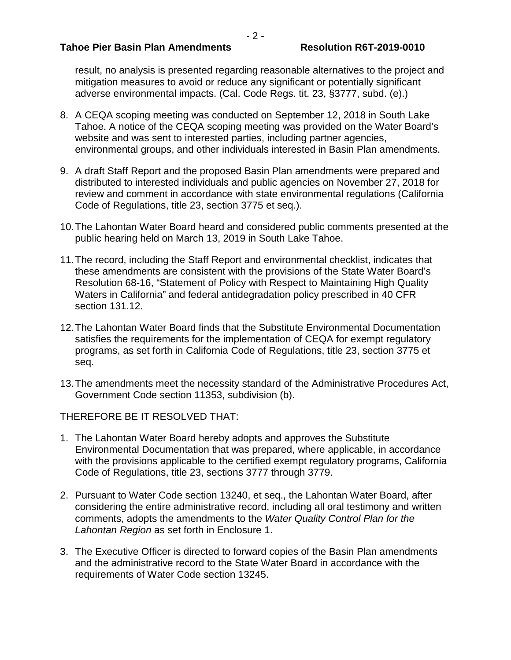#### **Tahoe Pier Basin Plan Amendments Resolution R6T-2019-0010**

result, no analysis is presented regarding reasonable alternatives to the project and mitigation measures to avoid or reduce any significant or potentially significant adverse environmental impacts. (Cal. Code Regs. tit. 23, §3777, subd. (e).)

- 8. A CEQA scoping meeting was conducted on September 12, 2018 in South Lake Tahoe. A notice of the CEQA scoping meeting was provided on the Water Board's website and was sent to interested parties, including partner agencies, environmental groups, and other individuals interested in Basin Plan amendments.
- 9. A draft Staff Report and the proposed Basin Plan amendments were prepared and distributed to interested individuals and public agencies on November 27, 2018 for review and comment in accordance with state environmental regulations (California Code of Regulations, title 23, section 3775 et seq.).
- 10.The Lahontan Water Board heard and considered public comments presented at the public hearing held on March 13, 2019 in South Lake Tahoe.
- 11.The record, including the Staff Report and environmental checklist, indicates that these amendments are consistent with the provisions of the State Water Board's Resolution 68-16, "Statement of Policy with Respect to Maintaining High Quality Waters in California" and federal antidegradation policy prescribed in 40 CFR section 131.12.
- 12.The Lahontan Water Board finds that the Substitute Environmental Documentation satisfies the requirements for the implementation of CEQA for exempt regulatory programs, as set forth in California Code of Regulations, title 23, section 3775 et seq.
- 13.The amendments meet the necessity standard of the Administrative Procedures Act, Government Code section 11353, subdivision (b).

THEREFORE BE IT RESOLVED THAT:

- 1. The Lahontan Water Board hereby adopts and approves the Substitute Environmental Documentation that was prepared, where applicable, in accordance with the provisions applicable to the certified exempt regulatory programs, California Code of Regulations, title 23, sections 3777 through 3779.
- 2. Pursuant to Water Code section 13240, et seq., the Lahontan Water Board, after considering the entire administrative record, including all oral testimony and written comments, adopts the amendments to the *Water Quality Control Plan for the Lahontan Region* as set forth in Enclosure 1.
- 3. The Executive Officer is directed to forward copies of the Basin Plan amendments and the administrative record to the State Water Board in accordance with the requirements of Water Code section 13245.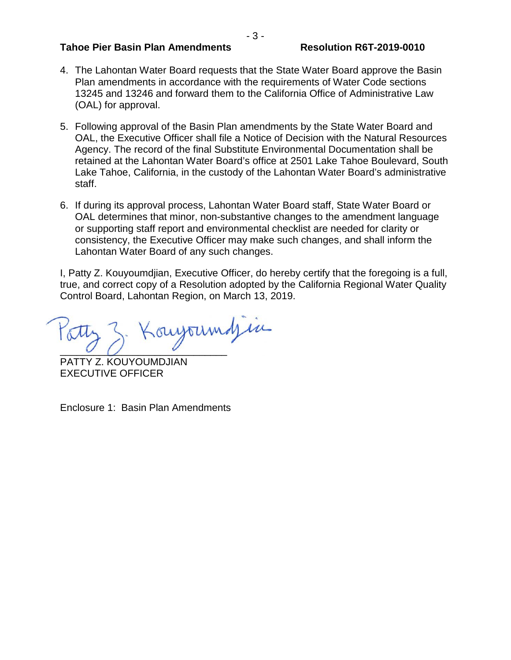#### **Tahoe Pier Basin Plan Amendments Resolution R6T-2019-0010**

- 4. The Lahontan Water Board requests that the State Water Board approve the Basin Plan amendments in accordance with the requirements of Water Code sections 13245 and 13246 and forward them to the California Office of Administrative Law (OAL) for approval.
- 5. Following approval of the Basin Plan amendments by the State Water Board and OAL, the Executive Officer shall file a Notice of Decision with the Natural Resources Agency. The record of the final Substitute Environmental Documentation shall be retained at the Lahontan Water Board's office at 2501 Lake Tahoe Boulevard, South Lake Tahoe, California, in the custody of the Lahontan Water Board's administrative staff.
- 6. If during its approval process, Lahontan Water Board staff, State Water Board or OAL determines that minor, non-substantive changes to the amendment language or supporting staff report and environmental checklist are needed for clarity or consistency, the Executive Officer may make such changes, and shall inform the Lahontan Water Board of any such changes.

I, Patty Z. Kouyoumdjian, Executive Officer, do hereby certify that the foregoing is a full, true, and correct copy of a Resolution adopted by the California Regional Water Quality Control Board, Lahontan Region, on March 13, 2019.

Konyoumdjin

PATTY Z. KOUYOUMDJIAN EXECUTIVE OFFICER

Enclosure 1: Basin Plan Amendments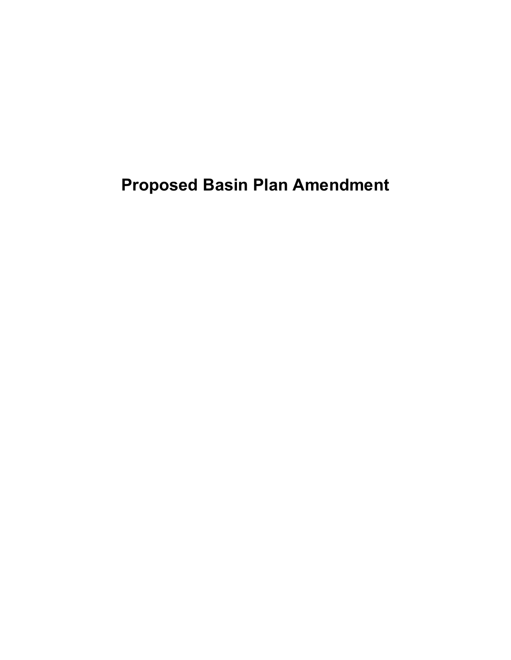**Proposed Basin Plan Amendment**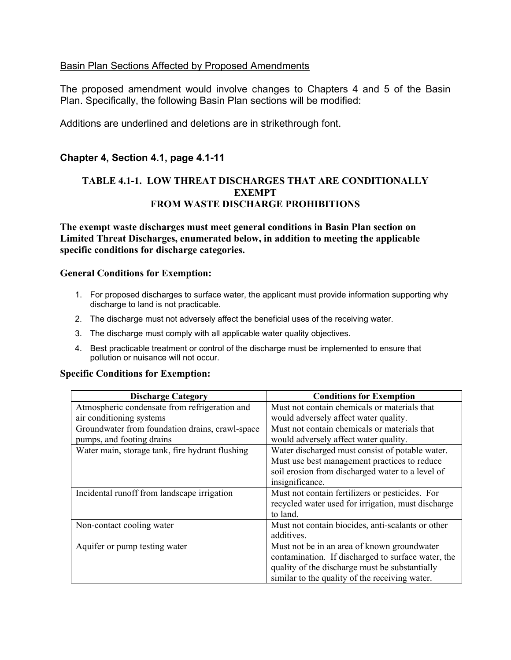### Basin Plan Sections Affected by Proposed Amendments

The proposed amendment would involve changes to Chapters 4 and 5 of the Basin Plan. Specifically, the following Basin Plan sections will be modified:

Additions are underlined and deletions are in strikethrough font.

# **Chapter 4, Section 4.1, page 4.1-11**

# **TABLE 4.1-1. LOW THREAT DISCHARGES THAT ARE CONDITIONALLY EXEMPT FROM WASTE DISCHARGE PROHIBITIONS**

**The exempt waste discharges must meet general conditions in Basin Plan section on Limited Threat Discharges, enumerated below, in addition to meeting the applicable specific conditions for discharge categories.**

#### **General Conditions for Exemption:**

- 1. For proposed discharges to surface water, the applicant must provide information supporting why discharge to land is not practicable.
- 2. The discharge must not adversely affect the beneficial uses of the receiving water.
- 3. The discharge must comply with all applicable water quality objectives.
- 4. Best practicable treatment or control of the discharge must be implemented to ensure that pollution or nuisance will not occur.

#### **Specific Conditions for Exemption:**

| <b>Discharge Category</b>                       | <b>Conditions for Exemption</b>                    |
|-------------------------------------------------|----------------------------------------------------|
| Atmospheric condensate from refrigeration and   | Must not contain chemicals or materials that       |
| air conditioning systems                        | would adversely affect water quality.              |
| Groundwater from foundation drains, crawl-space | Must not contain chemicals or materials that       |
| pumps, and footing drains                       | would adversely affect water quality.              |
| Water main, storage tank, fire hydrant flushing | Water discharged must consist of potable water.    |
|                                                 | Must use best management practices to reduce       |
|                                                 | soil erosion from discharged water to a level of   |
|                                                 | insignificance.                                    |
| Incidental runoff from landscape irrigation     | Must not contain fertilizers or pesticides. For    |
|                                                 | recycled water used for irrigation, must discharge |
|                                                 | to land.                                           |
| Non-contact cooling water                       | Must not contain biocides, anti-scalants or other  |
|                                                 | additives.                                         |
| Aquifer or pump testing water                   | Must not be in an area of known groundwater        |
|                                                 | contamination. If discharged to surface water, the |
|                                                 | quality of the discharge must be substantially     |
|                                                 | similar to the quality of the receiving water.     |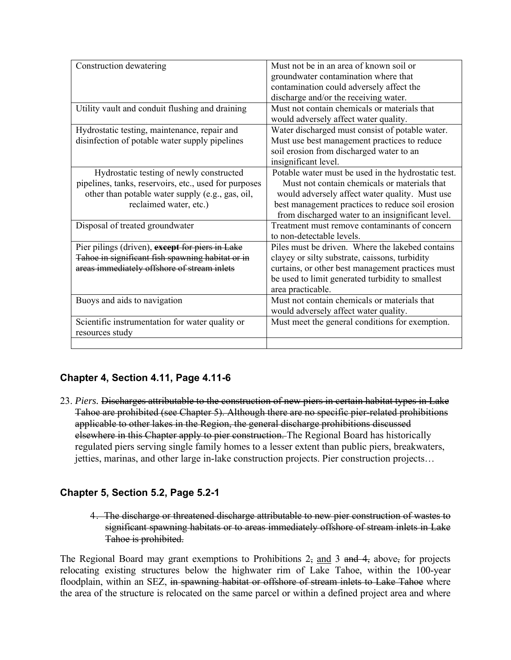| Construction dewatering                               | Must not be in an area of known soil or             |
|-------------------------------------------------------|-----------------------------------------------------|
|                                                       | groundwater contamination where that                |
|                                                       | contamination could adversely affect the            |
|                                                       | discharge and/or the receiving water.               |
| Utility vault and conduit flushing and draining       | Must not contain chemicals or materials that        |
|                                                       | would adversely affect water quality.               |
| Hydrostatic testing, maintenance, repair and          | Water discharged must consist of potable water.     |
| disinfection of potable water supply pipelines        | Must use best management practices to reduce        |
|                                                       | soil erosion from discharged water to an            |
|                                                       | insignificant level.                                |
| Hydrostatic testing of newly constructed              | Potable water must be used in the hydrostatic test. |
| pipelines, tanks, reservoirs, etc., used for purposes | Must not contain chemicals or materials that        |
| other than potable water supply (e.g., gas, oil,      | would adversely affect water quality. Must use      |
| reclaimed water, etc.)                                | best management practices to reduce soil erosion    |
|                                                       | from discharged water to an insignificant level.    |
| Disposal of treated groundwater                       | Treatment must remove contaminants of concern       |
|                                                       | to non-detectable levels.                           |
| Pier pilings (driven), except for piers in Lake       | Piles must be driven. Where the lakebed contains    |
| Tahoe in significant fish spawning habitat or in      | clayey or silty substrate, caissons, turbidity      |
| areas immediately offshore of stream inlets           | curtains, or other best management practices must   |
|                                                       | be used to limit generated turbidity to smallest    |
|                                                       | area practicable.                                   |
| Buoys and aids to navigation                          | Must not contain chemicals or materials that        |
|                                                       | would adversely affect water quality.               |
| Scientific instrumentation for water quality or       | Must meet the general conditions for exemption.     |
| resources study                                       |                                                     |
|                                                       |                                                     |

# **Chapter 4, Section 4.11, Page 4.11-6**

23. *Piers.* Discharges attributable to the construction of new piers in certain habitat types in Lake Tahoe are prohibited (see Chapter 5). Although there are no specific pier-related prohibitions applicable to other lakes in the Region, the general discharge prohibitions discussed elsewhere in this Chapter apply to pier construction. The Regional Board has historically regulated piers serving single family homes to a lesser extent than public piers, breakwaters, jetties, marinas, and other large in-lake construction projects. Pier construction projects…

# **Chapter 5, Section 5.2, Page 5.2-1**

4. The discharge or threatened discharge attributable to new pier construction of wastes to significant spawning habitats or to areas immediately offshore of stream inlets in Lake Tahoe is prohibited.

The Regional Board may grant exemptions to Prohibitions 2, and 3 and 4, above, for projects relocating existing structures below the highwater rim of Lake Tahoe, within the 100-year floodplain, within an SEZ, in spawning habitat or offshore of stream inlets to Lake Tahoe where the area of the structure is relocated on the same parcel or within a defined project area and where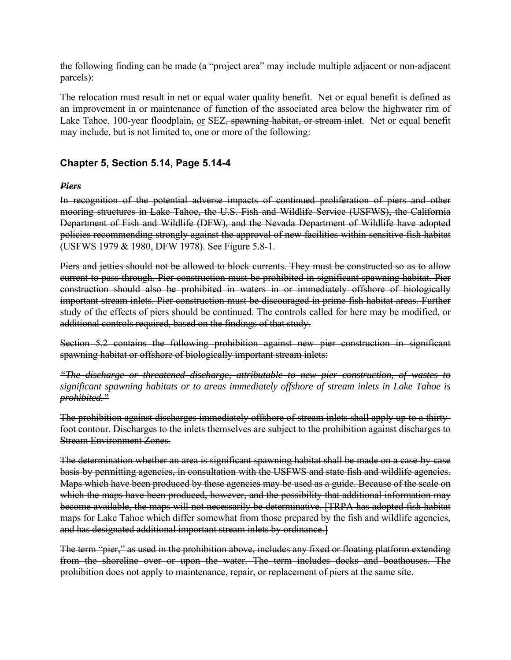the following finding can be made (a "project area" may include multiple adjacent or non-adjacent parcels):

The relocation must result in net or equal water quality benefit. Net or equal benefit is defined as an improvement in or maintenance of function of the associated area below the highwater rim of Lake Tahoe, 100-year floodplain, or SEZ, spawning habitat, or stream inlet. Net or equal benefit may include, but is not limited to, one or more of the following:

# **Chapter 5, Section 5.14, Page 5.14-4**

#### *Piers*

In recognition of the potential adverse impacts of continued proliferation of piers and other mooring structures in Lake Tahoe, the U.S. Fish and Wildlife Service (USFWS), the California Department of Fish and Wildlife (DFW), and the Nevada Department of Wildlife have adopted policies recommending strongly against the approval of new facilities within sensitive fish habitat (USFWS 1979 & 1980, DFW 1978). See Figure 5.8-1.

Piers and jetties should not be allowed to block currents. They must be constructed so as to allow current to pass through. Pier construction must be prohibited in significant spawning habitat. Pier construction should also be prohibited in waters in or immediately offshore of biologically important stream inlets. Pier construction must be discouraged in prime fish habitat areas. Further study of the effects of piers should be continued. The controls called for here may be modified, or additional controls required, based on the findings of that study.

Section 5.2 contains the following prohibition against new pier construction in significant spawning habitat or offshore of biologically important stream inlets:

*"The discharge or threatened discharge, attributable to new pier construction, of wastes to significant spawning habitats or to areas immediately offshore of stream inlets in Lake Tahoe is prohibited."*

The prohibition against discharges immediately offshore of stream inlets shall apply up to a thirtyfoot contour. Discharges to the inlets themselves are subject to the prohibition against discharges to Stream Environment Zones.

The determination whether an area is significant spawning habitat shall be made on a case-by-case basis by permitting agencies, in consultation with the USFWS and state fish and wildlife agencies. Maps which have been produced by these agencies may be used as a guide. Because of the scale on which the maps have been produced, however, and the possibility that additional information may become available, the maps will not necessarily be determinative. [TRPA has adopted fish habitat maps for Lake Tahoe which differ somewhat from those prepared by the fish and wildlife agencies, and has designated additional important stream inlets by ordinance.]

The term "pier," as used in the prohibition above, includes any fixed or floating platform extending from the shoreline over or upon the water. The term includes docks and boathouses. The prohibition does not apply to maintenance, repair, or replacement of piers at the same site.